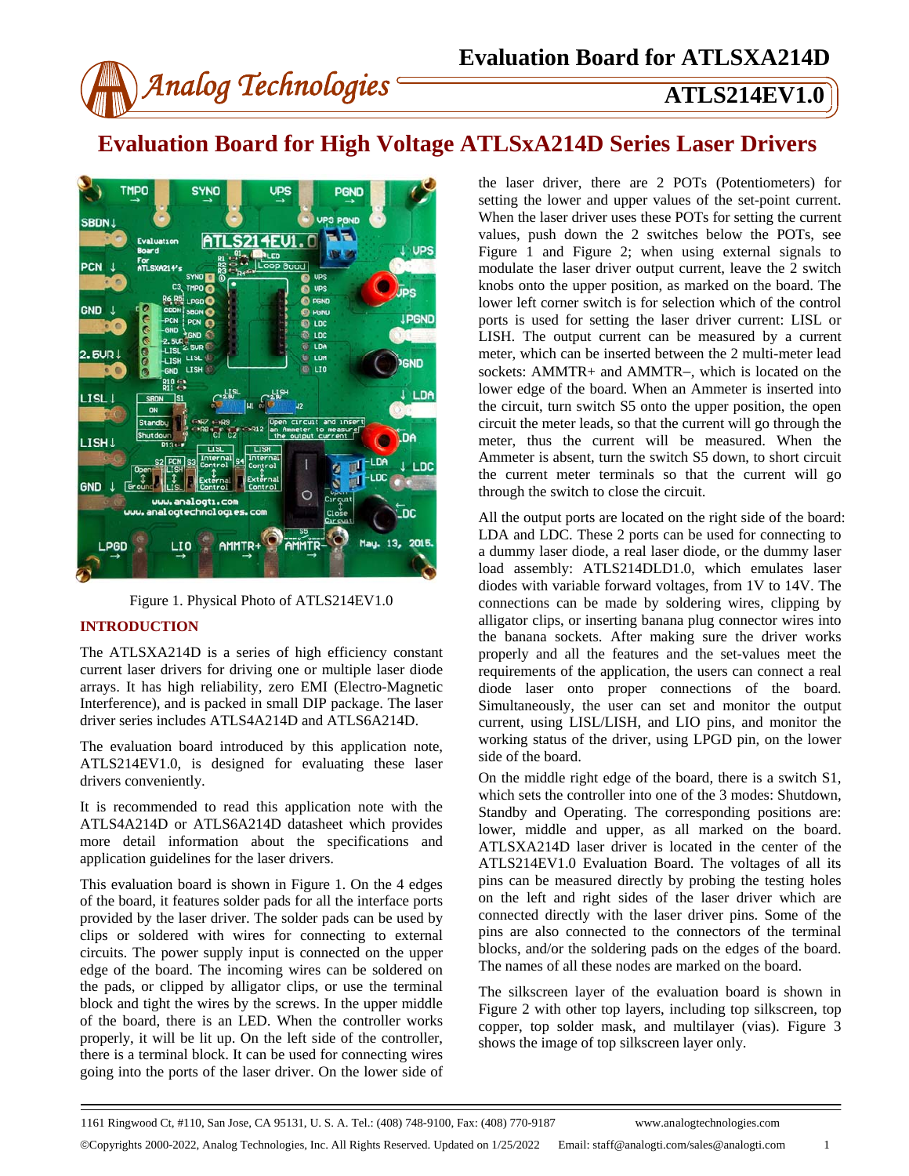

# **Evaluation Board for High Voltage ATLSxA214D Series Laser Drivers**





### **INTRODUCTION**

The ATLSXA214D is a series of high efficiency constant current laser drivers for driving one or multiple laser diode arrays. It has high reliability, zero EMI (Electro-Magnetic Interference), and is packed in small DIP package. The laser driver series includes ATLS4A214D and ATLS6A214D.

The evaluation board introduced by this application note, ATLS214EV1.0, is designed for evaluating these laser drivers conveniently.

It is recommended to read this application note with the ATLS4A214D or ATLS6A214D datasheet which provides more detail information about the specifications and application guidelines for the laser drivers.

This evaluation board is shown in Figure 1. On the 4 edges of the board, it features solder pads for all the interface ports provided by the laser driver. The solder pads can be used by clips or soldered with wires for connecting to external circuits. The power supply input is connected on the upper edge of the board. The incoming wires can be soldered on the pads, or clipped by alligator clips, or use the terminal block and tight the wires by the screws. In the upper middle of the board, there is an LED. When the controller works properly, it will be lit up. On the left side of the controller, there is a terminal block. It can be used for connecting wires going into the ports of the laser driver. On the lower side of

the laser driver, there are 2 POTs (Potentiometers) for setting the lower and upper values of the set-point current. When the laser driver uses these POTs for setting the current values, push down the 2 switches below the POTs, see Figure 1 and Figure 2; when using external signals to modulate the laser driver output current, leave the 2 switch knobs onto the upper position, as marked on the board. The lower left corner switch is for selection which of the control ports is used for setting the laser driver current: LISL or LISH. The output current can be measured by a current meter, which can be inserted between the 2 multi-meter lead sockets: AMMTR+ and AMMTR−, which is located on the lower edge of the board. When an Ammeter is inserted into the circuit, turn switch S5 onto the upper position, the open circuit the meter leads, so that the current will go through the meter, thus the current will be measured. When the Ammeter is absent, turn the switch S5 down, to short circuit the current meter terminals so that the current will go through the switch to close the circuit.

All the output ports are located on the right side of the board: LDA and LDC. These 2 ports can be used for connecting to a dummy laser diode, a real laser diode, or the dummy laser load assembly: ATLS214DLD1.0, which emulates laser diodes with variable forward voltages, from 1V to 14V. The connections can be made by soldering wires, clipping by alligator clips, or inserting banana plug connector wires into the banana sockets. After making sure the driver works properly and all the features and the set-values meet the requirements of the application, the users can connect a real diode laser onto proper connections of the board. Simultaneously, the user can set and monitor the output current, using LISL/LISH, and LIO pins, and monitor the working status of the driver, using LPGD pin, on the lower side of the board.

On the middle right edge of the board, there is a switch S1, which sets the controller into one of the 3 modes: Shutdown, Standby and Operating. The corresponding positions are: lower, middle and upper, as all marked on the board. ATLSXA214D laser driver is located in the center of the ATLS214EV1.0 Evaluation Board. The voltages of all its pins can be measured directly by probing the testing holes on the left and right sides of the laser driver which are connected directly with the laser driver pins. Some of the pins are also connected to the connectors of the terminal blocks, and/or the soldering pads on the edges of the board. The names of all these nodes are marked on the board.

The silkscreen layer of the evaluation board is shown in Figure 2 with other top layers, including top silkscreen, top copper, top solder mask, and multilayer (vias). Figure 3 shows the image of top silkscreen layer only.

Copyrights 2000-2022, Analog Technologies, Inc. All Rights Reserved. Updated on 1/25/2022 Email: staff@analogti.com/sales@analogti.com 1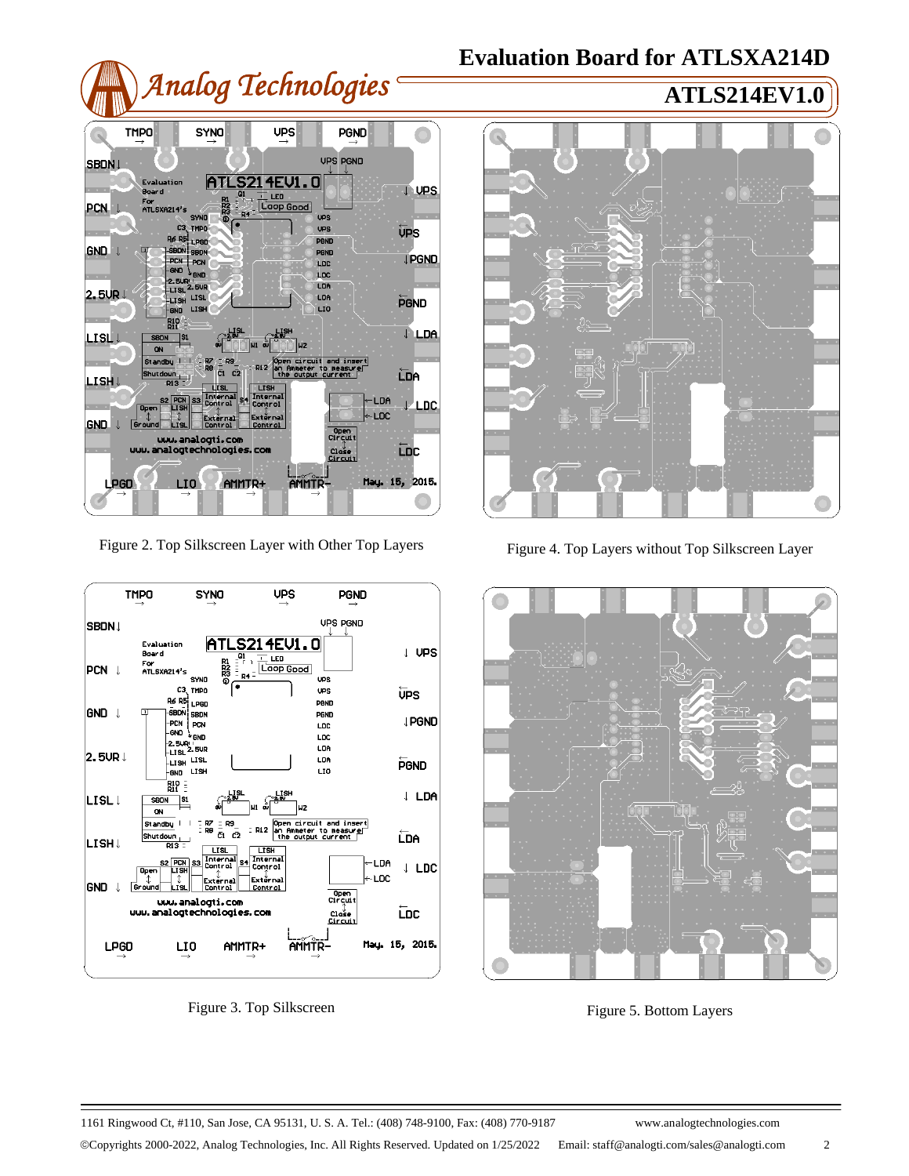# *Analog Technologies* **ATLS214EV1.0**

# **Evaluation Board for ATLSXA214D**





Figure 2. Top Silkscreen Layer with Other Top Layers



Figure 3. Top Silkscreen



Figure 4. Top Layers without Top Silkscreen Layer



Figure 5. Bottom Layers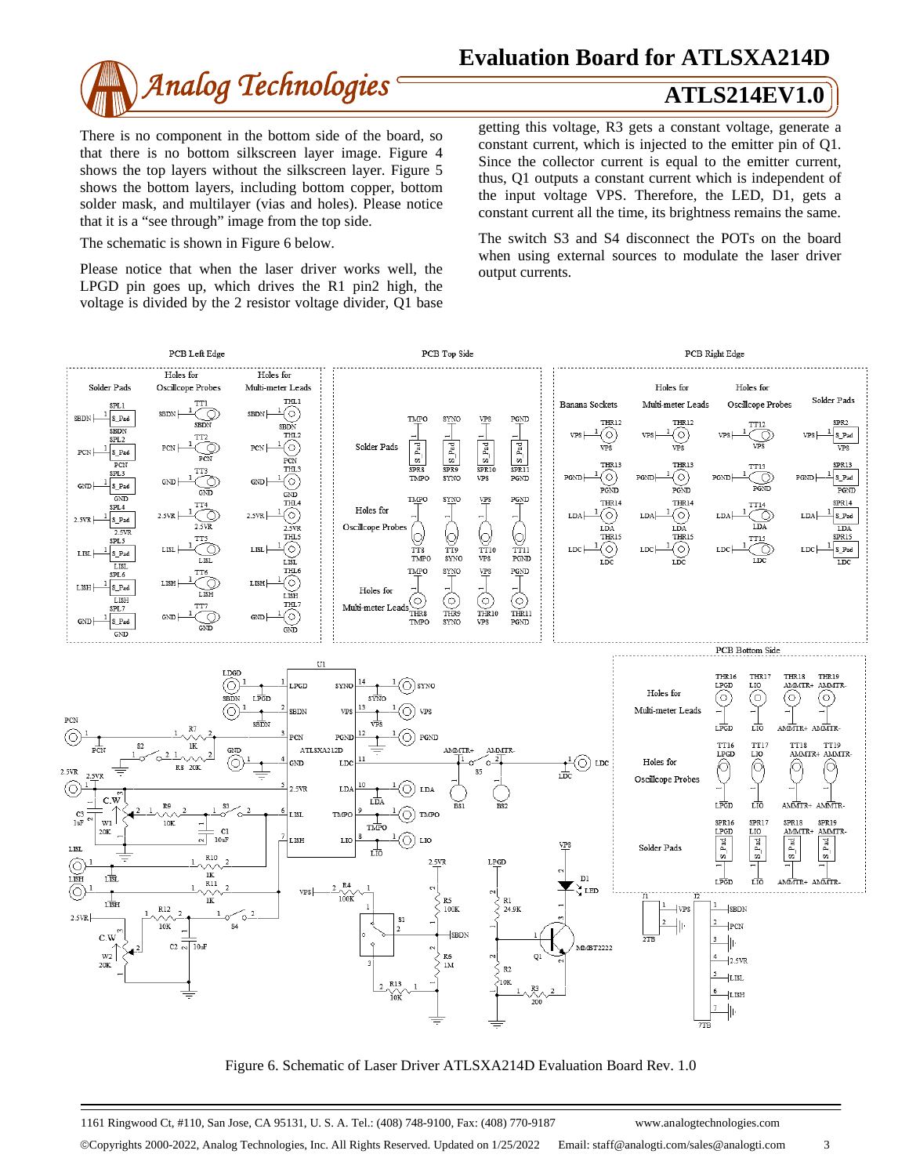

# **Evaluation Board for ATLSXA214D**

There is no component in the bottom side of the board, so that there is no bottom silkscreen layer image. Figure 4 shows the top layers without the silkscreen layer. Figure 5 shows the bottom layers, including bottom copper, bottom solder mask, and multilayer (vias and holes). Please notice that it is a "see through" image from the top side.

The schematic is shown in Figure 6 below.

Please notice that when the laser driver works well, the LPGD pin goes up, which drives the R1 pin2 high, the voltage is divided by the 2 resistor voltage divider, Q1 base getting this voltage, R3 gets a constant voltage, generate a constant current, which is injected to the emitter pin of Q1. Since the collector current is equal to the emitter current, thus, Q1 outputs a constant current which is independent of the input voltage VPS. Therefore, the LED, D1, gets a constant current all the time, its brightness remains the same.

The switch S3 and S4 disconnect the POTs on the board when using external sources to modulate the laser driver output currents.



Figure 6. Schematic of Laser Driver ATLSXA214D Evaluation Board Rev. 1.0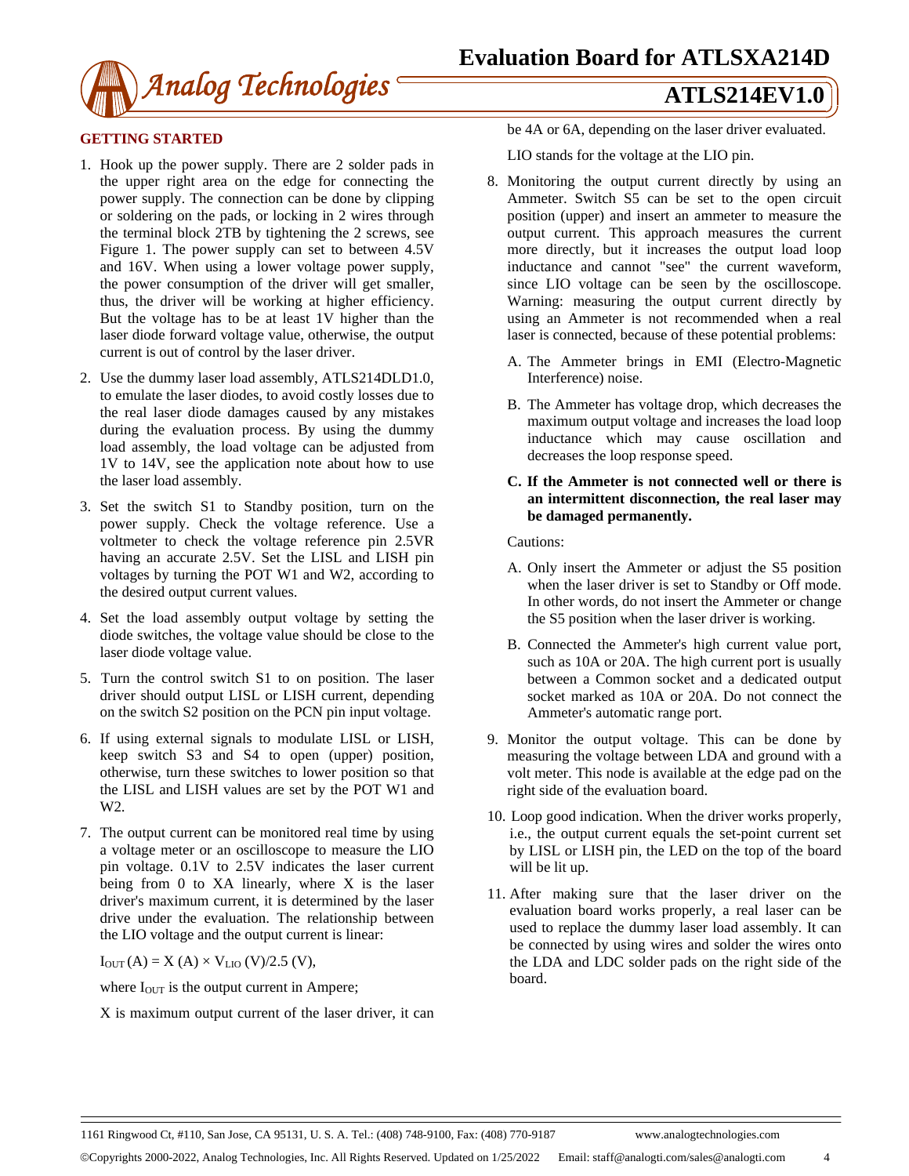

### **GETTING STARTED**

- 1. Hook up the power supply. There are 2 solder pads in the upper right area on the edge for connecting the power supply. The connection can be done by clipping or soldering on the pads, or locking in 2 wires through the terminal block 2TB by tightening the 2 screws, see Figure 1. The power supply can set to between 4.5V and 16V. When using a lower voltage power supply, the power consumption of the driver will get smaller, thus, the driver will be working at higher efficiency. But the voltage has to be at least 1V higher than the laser diode forward voltage value, otherwise, the output current is out of control by the laser driver.
- 2. Use the dummy laser load assembly, ATLS214DLD1.0, to emulate the laser diodes, to avoid costly losses due to the real laser diode damages caused by any mistakes during the evaluation process. By using the dummy load assembly, the load voltage can be adjusted from 1V to 14V, see the application note about how to use the laser load assembly.
- 3. Set the switch S1 to Standby position, turn on the power supply. Check the voltage reference. Use a voltmeter to check the voltage reference pin 2.5VR having an accurate 2.5V. Set the LISL and LISH pin voltages by turning the POT W1 and W2, according to the desired output current values.
- 4. Set the load assembly output voltage by setting the diode switches, the voltage value should be close to the laser diode voltage value.
- 5. Turn the control switch S1 to on position. The laser driver should output LISL or LISH current, depending on the switch S2 position on the PCN pin input voltage.
- 6. If using external signals to modulate LISL or LISH, keep switch S3 and S4 to open (upper) position, otherwise, turn these switches to lower position so that the LISL and LISH values are set by the POT W1 and W2.
- 7. The output current can be monitored real time by using a voltage meter or an oscilloscope to measure the LIO pin voltage. 0.1V to 2.5V indicates the laser current being from  $0$  to XA linearly, where  $X$  is the laser driver's maximum current, it is determined by the laser drive under the evaluation. The relationship between the LIO voltage and the output current is linear:

 $I_{OUT}(A) = X (A) \times V_{LIO} (V)/2.5 (V),$ 

where  $I<sub>OUT</sub>$  is the output current in Ampere;

X is maximum output current of the laser driver, it can

be 4A or 6A, depending on the laser driver evaluated.

LIO stands for the voltage at the LIO pin.

- 8. Monitoring the output current directly by using an Ammeter. Switch S5 can be set to the open circuit position (upper) and insert an ammeter to measure the output current. This approach measures the current more directly, but it increases the output load loop inductance and cannot "see" the current waveform, since LIO voltage can be seen by the oscilloscope. Warning: measuring the output current directly by using an Ammeter is not recommended when a real laser is connected, because of these potential problems:
	- A. The Ammeter brings in EMI (Electro-Magnetic Interference) noise.
	- B. The Ammeter has voltage drop, which decreases the maximum output voltage and increases the load loop inductance which may cause oscillation and decreases the loop response speed.
	- **C. If the Ammeter is not connected well or there is an intermittent disconnection, the real laser may be damaged permanently.**

Cautions:

- A. Only insert the Ammeter or adjust the S5 position when the laser driver is set to Standby or Off mode. In other words, do not insert the Ammeter or change the S5 position when the laser driver is working.
- B. Connected the Ammeter's high current value port, such as 10A or 20A. The high current port is usually between a Common socket and a dedicated output socket marked as 10A or 20A. Do not connect the Ammeter's automatic range port.
- 9. Monitor the output voltage. This can be done by measuring the voltage between LDA and ground with a volt meter. This node is available at the edge pad on the right side of the evaluation board.
- 10. Loop good indication. When the driver works properly, i.e., the output current equals the set-point current set by LISL or LISH pin, the LED on the top of the board will be lit up.
- 11. After making sure that the laser driver on the evaluation board works properly, a real laser can be used to replace the dummy laser load assembly. It can be connected by using wires and solder the wires onto the LDA and LDC solder pads on the right side of the board.

Copyrights 2000-2022, Analog Technologies, Inc. All Rights Reserved. Updated on 1/25/2022 Email: staff@analogti.com/sales@analogti.com 4